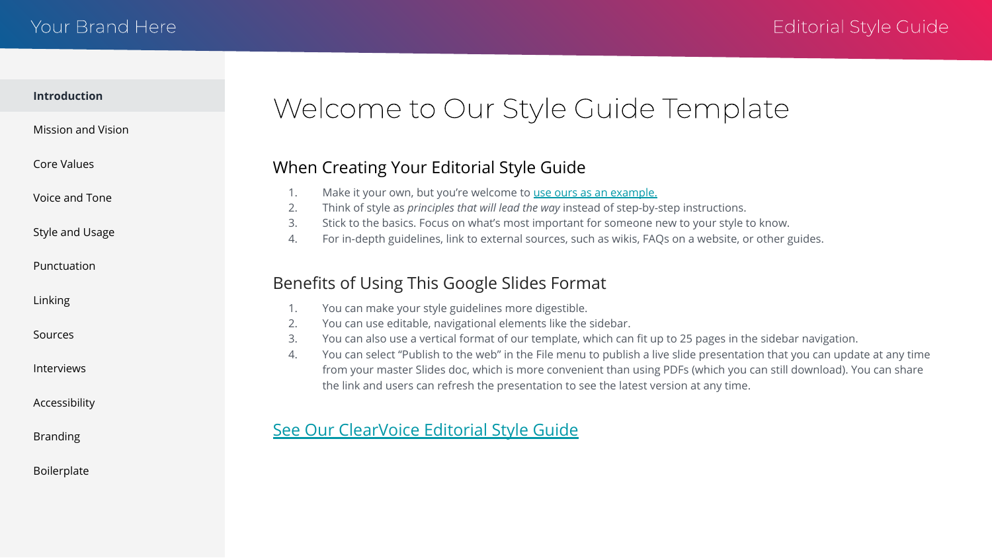### <span id="page-0-0"></span>Your Brand Here

### **Introduction**

### [Mission and Vision](#page-1-0)

[Core Values](#page-2-0)

[Voice and Tone](#page-3-0)

[Style and Usage](#page-4-0)

[Punctuation](#page-5-0)

[Linking](#page-6-0)

[Sources](#page-7-0)

[Interviews](#page-8-0)

[Accessibility](#page-9-0)

[Branding](#page-10-0)

[Boilerplate](#page-11-0)

# Welcome to Our Style Guide Template

### When Creating Your Editorial Style Guide

- 1. Make it your own, but you're welcome to [use ours as an example.](https://docs.google.com/presentation/d/e/2PACX-1vR7UmBw-UBwmLmnY0U97_pHbRPt5oMZxuA-nqzVjYapgOS8hmSdHJlFunt_UJwC4OuScN3ZM2vbSjqq/pub?start=false&loop=false&delayms=10000&slide=id.g6f74ff15a0_1_0)
- 2. Think of style as *principles that will lead the way* instead of step-by-step instructions.
- 3. Stick to the basics. Focus on what's most important for someone new to your style to know.
- 4. For in-depth guidelines, link to external sources, such as wikis, FAQs on a website, or other guides.

## Benefits of Using This Google Slides Format

- 1. You can make your style guidelines more digestible.
- 2. You can use editable, navigational elements like the sidebar.
- 3. You can also use a vertical format of our template, which can fit up to 25 pages in the sidebar navigation.
- 4. You can select "Publish to the web" in the File menu to publish a live slide presentation that you can update at any time from your master Slides doc, which is more convenient than using PDFs (which you can still download). You can share the link and users can refresh the presentation to see the latest version at any time.

### [See Our ClearVoice Editorial Style Guide](https://docs.google.com/presentation/d/e/2PACX-1vR7UmBw-UBwmLmnY0U97_pHbRPt5oMZxuA-nqzVjYapgOS8hmSdHJlFunt_UJwC4OuScN3ZM2vbSjqq/pub?start=false&loop=false&delayms=10000&slide=id.g6f74ff15a0_1_0)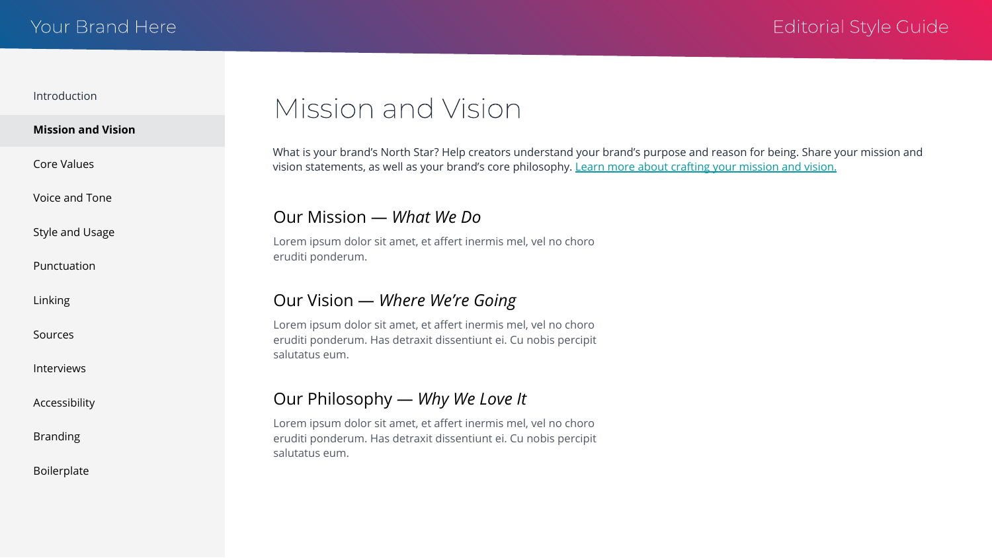### <span id="page-1-0"></span>**Mission and Vision**

[Voice and Tone](#page-3-0)

[Style and Usage](#page-4-0)

[Punctuation](#page-5-0)

[Linking](#page-6-0)

[Sources](#page-7-0)

[Interviews](#page-8-0)

[Accessibility](#page-9-0)

[Branding](#page-10-0)

[Boilerplate](#page-11-0)

# Mission and Vision

What is your brand's North Star? Help creators understand your brand's purpose and reason for being. Share your mission and vision statements, as well as your brand's core philosophy. [Learn more about crafting your mission and vision.](https://www.clearvoice.com/blog/difference-between-mission-vision-statement-examples/)

### Our Mission — *What We Do*

Lorem ipsum dolor sit amet, et affert inermis mel, vel no choro eruditi ponderum.

### Our Vision — *Where We're Going*

Lorem ipsum dolor sit amet, et affert inermis mel, vel no choro eruditi ponderum. Has detraxit dissentiunt ei. Cu nobis percipit salutatus eum.

## Our Philosophy — *Why We Love It*

Lorem ipsum dolor sit amet, et affert inermis mel, vel no choro eruditi ponderum. Has detraxit dissentiunt ei. Cu nobis percipit salutatus eum.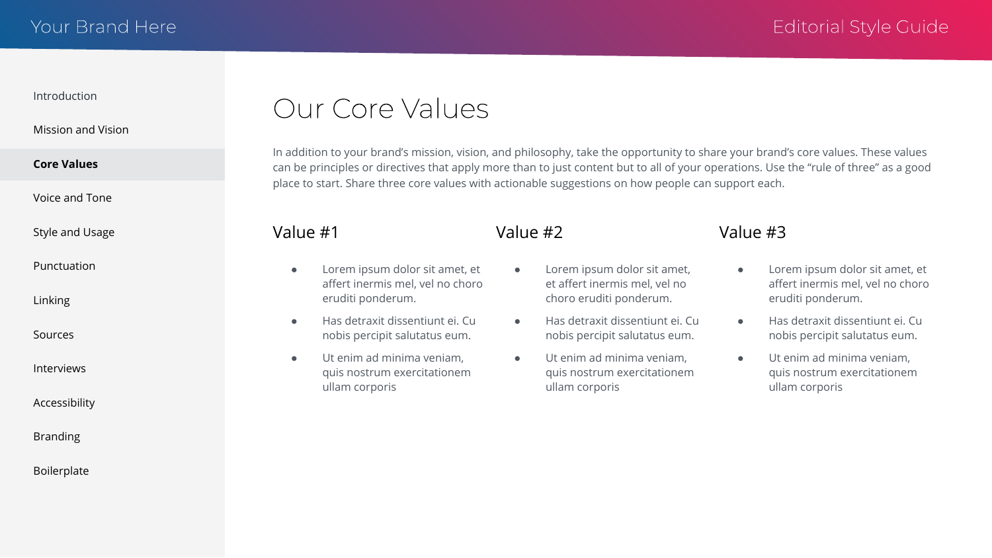<span id="page-2-0"></span>[Mission and Vision](#page-1-0)

### **Core Values**

[Voice and Tone](#page-3-0)

[Style and Usage](#page-4-0)

[Punctuation](#page-5-0)

[Linking](#page-6-0)

[Sources](#page-7-0)

[Interviews](#page-8-0)

[Accessibility](#page-9-0)

[Branding](#page-10-0)

[Boilerplate](#page-11-0)

# Our Core Values

In addition to your brand's mission, vision, and philosophy, take the opportunity to share your brand's core values. These values can be principles or directives that apply more than to just content but to all of your operations. Use the "rule of three" as a good place to start. Share three core values with actionable suggestions on how people can support each.

### Value #1

- Lorem ipsum dolor sit amet, et affert inermis mel, vel no choro eruditi ponderum.
- Has detraxit dissentiunt ei. Cu nobis percipit salutatus eum.
- Ut enim ad minima veniam, quis nostrum exercitationem ullam corporis

## Value #2

- Lorem ipsum dolor sit amet, et affert inermis mel, vel no choro eruditi ponderum.
- Has detraxit dissentiunt ei. Cu nobis percipit salutatus eum.
- Ut enim ad minima veniam, quis nostrum exercitationem ullam corporis

### Value #3

- Lorem ipsum dolor sit amet, et affert inermis mel, vel no choro eruditi ponderum.
- Has detraxit dissentiunt ei. Cu nobis percipit salutatus eum.
- Ut enim ad minima veniam, quis nostrum exercitationem ullam corporis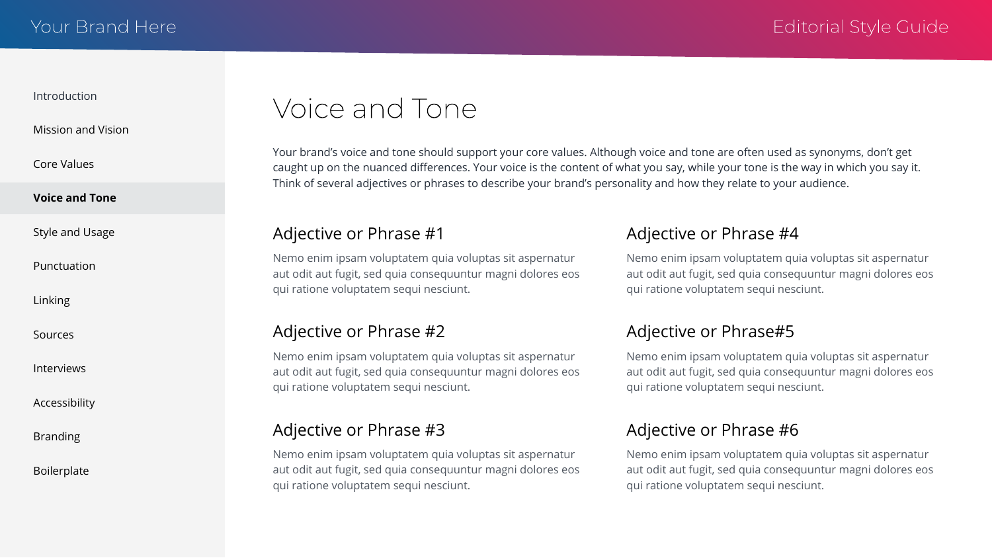<span id="page-3-0"></span>[Mission and Vision](#page-1-0)

[Core Values](#page-2-0)

### **Voice and Tone**

[Style and Usage](#page-4-0)

[Punctuation](#page-5-0)

[Linking](#page-6-0)

[Sources](#page-7-0)

[Interviews](#page-8-0)

[Accessibility](#page-9-0)

[Branding](#page-10-0)

[Boilerplate](#page-11-0)

# Voice and Tone

Your brand's voice and tone should support your core values. Although voice and tone are often used as synonyms, don't get caught up on the nuanced differences. Your voice is the content of what you say, while your tone is the way in which you say it. Think of several adjectives or phrases to describe your brand's personality and how they relate to your audience.

### Adjective or Phrase #1

Nemo enim ipsam voluptatem quia voluptas sit aspernatur aut odit aut fugit, sed quia consequuntur magni dolores eos qui ratione voluptatem sequi nesciunt.

### Adjective or Phrase #2

Nemo enim ipsam voluptatem quia voluptas sit aspernatur aut odit aut fugit, sed quia consequuntur magni dolores eos qui ratione voluptatem sequi nesciunt.

### Adjective or Phrase #3

Nemo enim ipsam voluptatem quia voluptas sit aspernatur aut odit aut fugit, sed quia consequuntur magni dolores eos qui ratione voluptatem sequi nesciunt.

### Adjective or Phrase #4

Nemo enim ipsam voluptatem quia voluptas sit aspernatur aut odit aut fugit, sed quia consequuntur magni dolores eos qui ratione voluptatem sequi nesciunt.

### Adjective or Phrase#5

Nemo enim ipsam voluptatem quia voluptas sit aspernatur aut odit aut fugit, sed quia consequuntur magni dolores eos qui ratione voluptatem sequi nesciunt.

### Adjective or Phrase #6

Nemo enim ipsam voluptatem quia voluptas sit aspernatur aut odit aut fugit, sed quia consequuntur magni dolores eos qui ratione voluptatem sequi nesciunt.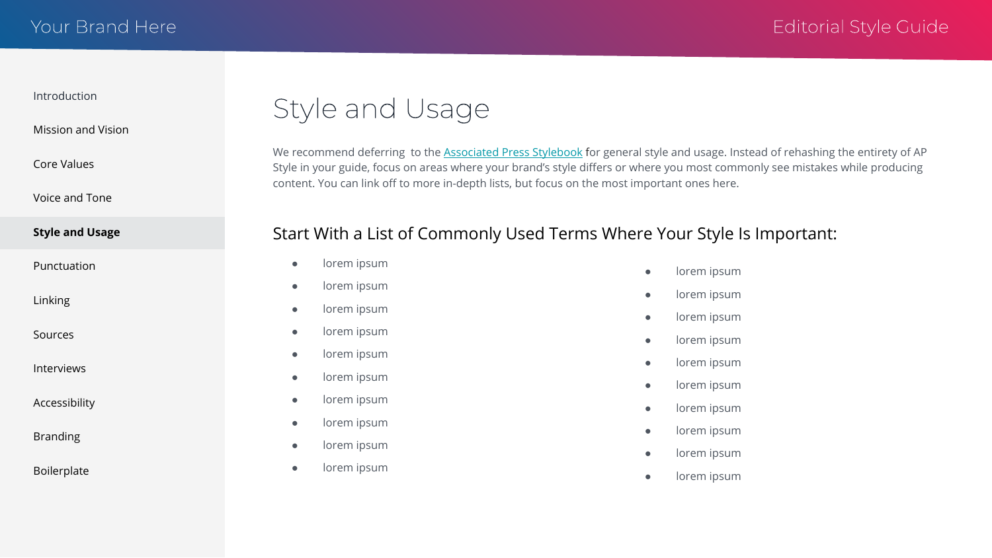<span id="page-4-0"></span>[Mission and Vision](#page-1-0)

[Core Values](#page-2-0)

[Voice and Tone](#page-3-0)

### **Style and Usage**

[Punctuation](#page-5-0)

[Linking](#page-6-0)

[Sources](#page-7-0)

[Interviews](#page-8-0)

[Accessibility](#page-9-0)

[Branding](#page-10-0)

[Boilerplate](#page-11-0)



We recommend deferring to the [Associated Press Stylebook](https://www.apstylebook.com/) for general style and usage. Instead of rehashing the entirety of AP Style in your guide, focus on areas where your brand's style differs or where you most commonly see mistakes while producing content. You can link off to more in-depth lists, but focus on the most important ones here.

## Start With a List of Commonly Used Terms Where Your Style Is Important:

- lorem ipsum
- lorem ipsum
- lorem ipsum
- lorem ipsum
- lorem ipsum
- lorem ipsum
- lorem ipsum
- lorem ipsum
- lorem ipsum
- lorem ipsum
- lorem ipsum
- lorem ipsum
- lorem ipsum
- lorem ipsum
- lorem ipsum
- lorem ipsum
- lorem ipsum
- lorem ipsum
- lorem ipsum
- lorem ipsum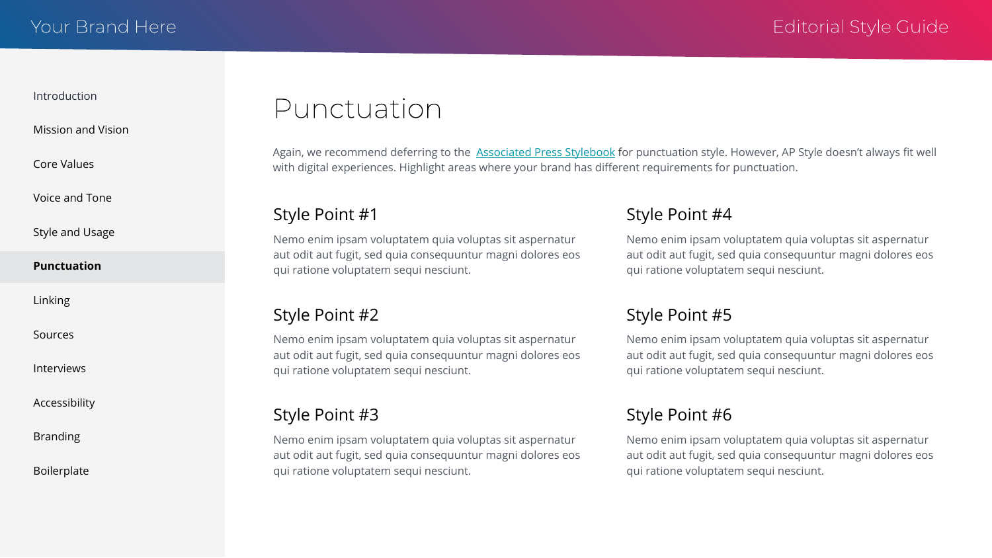<span id="page-5-0"></span>[Mission and Vision](#page-1-0)

[Core Values](#page-2-0)

[Voice and Tone](#page-3-0)

[Style and Usage](#page-4-0)

### **Punctuation**

[Linking](#page-6-0)

[Sources](#page-7-0)

[Interviews](#page-8-0)

[Accessibility](#page-9-0)

[Branding](#page-10-0)

[Boilerplate](#page-11-0)

## Punctuation

Again, we recommend deferring to the [Associated Press Stylebook](https://www.apstylebook.com/) for punctuation style. However, AP Style doesn't always fit well with digital experiences. Highlight areas where your brand has different requirements for punctuation.

### Style Point #1

Nemo enim ipsam voluptatem quia voluptas sit aspernatur aut odit aut fugit, sed quia consequuntur magni dolores eos qui ratione voluptatem sequi nesciunt.

### Style Point #2

Nemo enim ipsam voluptatem quia voluptas sit aspernatur aut odit aut fugit, sed quia consequuntur magni dolores eos qui ratione voluptatem sequi nesciunt.

### Style Point #3

Nemo enim ipsam voluptatem quia voluptas sit aspernatur aut odit aut fugit, sed quia consequuntur magni dolores eos qui ratione voluptatem sequi nesciunt.

## Style Point #4

Nemo enim ipsam voluptatem quia voluptas sit aspernatur aut odit aut fugit, sed quia consequuntur magni dolores eos qui ratione voluptatem sequi nesciunt.

## Style Point #5

Nemo enim ipsam voluptatem quia voluptas sit aspernatur aut odit aut fugit, sed quia consequuntur magni dolores eos qui ratione voluptatem sequi nesciunt.

## Style Point #6

Nemo enim ipsam voluptatem quia voluptas sit aspernatur aut odit aut fugit, sed quia consequuntur magni dolores eos qui ratione voluptatem sequi nesciunt.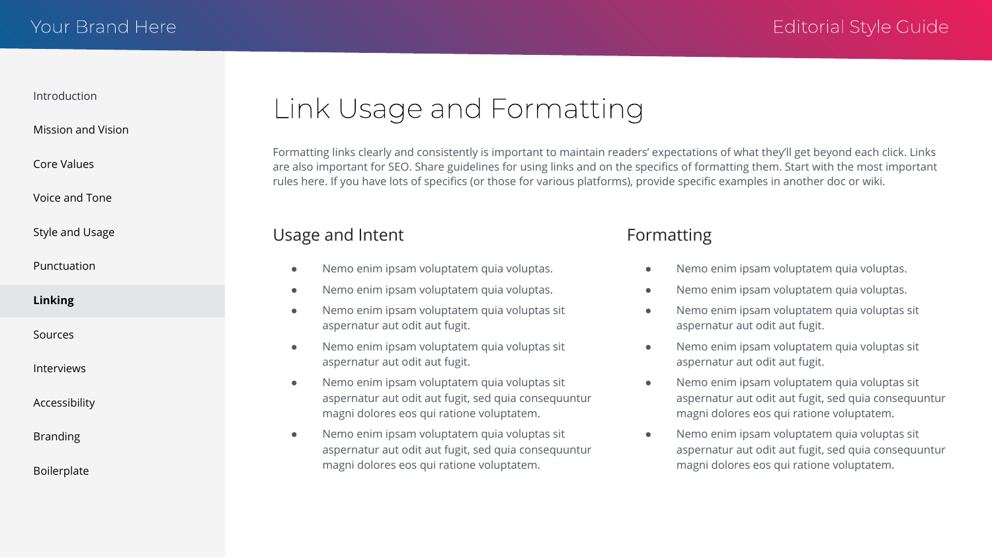<span id="page-6-0"></span>[Mission and Vision](#page-1-0)

[Core Values](#page-2-0)

[Voice and Tone](#page-3-0)

[Style and Usage](#page-4-0)

[Punctuation](#page-5-0)

**Linking**

[Sources](#page-7-0)

[Interviews](#page-8-0)

[Accessibility](#page-9-0)

[Branding](#page-10-0)

[Boilerplate](#page-11-0)

# Link Usage and Formatting

Formatting links clearly and consistently is important to maintain readers' expectations of what they'll get beyond each click. Links are also important for SEO. Share guidelines for using links and on the specifics of formatting them. Start with the most important rules here. If you have lots of specifics (or those for various platforms), provide specific examples in another doc or wiki.

### Usage and Intent

- Nemo enim ipsam voluptatem quia voluptas.
- Nemo enim ipsam voluptatem quia voluptas.
- Nemo enim ipsam voluptatem quia voluptas sit aspernatur aut odit aut fugit.
- Nemo enim ipsam voluptatem quia voluptas sit aspernatur aut odit aut fugit.
- Nemo enim ipsam voluptatem quia voluptas sit aspernatur aut odit aut fugit, sed quia consequuntur magni dolores eos qui ratione voluptatem.
- Nemo enim ipsam voluptatem quia voluptas sit aspernatur aut odit aut fugit, sed quia consequuntur magni dolores eos qui ratione voluptatem.

## Formatting

- Nemo enim ipsam voluptatem quia voluptas.
- Nemo enim ipsam voluptatem quia voluptas.
- Nemo enim ipsam voluptatem quia voluptas sit aspernatur aut odit aut fugit.
- Nemo enim ipsam voluptatem quia voluptas sit aspernatur aut odit aut fugit.
- Nemo enim ipsam voluptatem quia voluptas sit aspernatur aut odit aut fugit, sed quia consequuntur magni dolores eos qui ratione voluptatem.
- Nemo enim ipsam voluptatem quia voluptas sit aspernatur aut odit aut fugit, sed quia consequuntur magni dolores eos qui ratione voluptatem.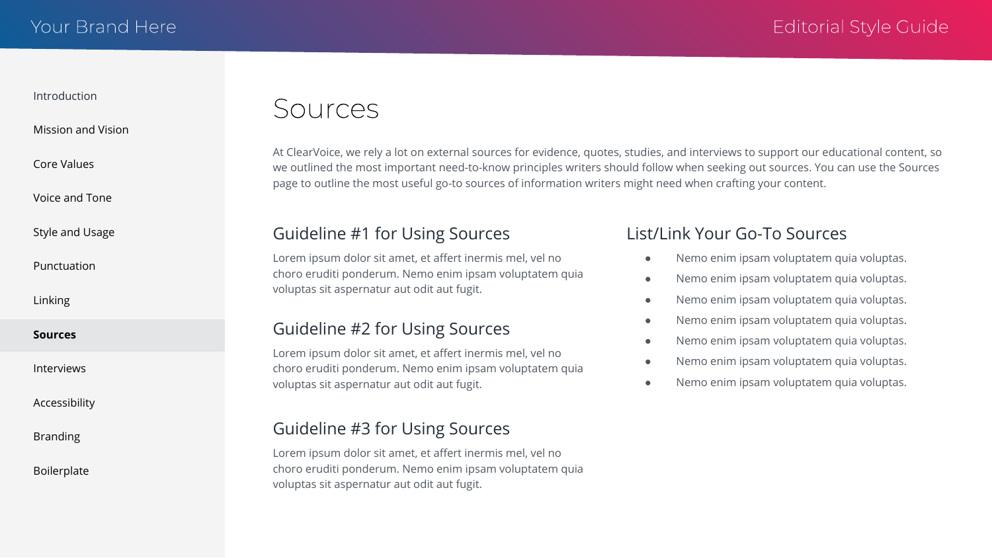### <span id="page-7-0"></span>[Mission and Vision](#page-1-0)

[Core Values](#page-2-0)

[Voice and Tone](#page-3-0)

[Style and Usage](#page-4-0)

[Punctuation](#page-5-0)

[Linking](#page-6-0)

**Sources**

[Interviews](#page-8-0)

[Accessibility](#page-9-0)

[Branding](#page-10-0)

[Boilerplate](#page-11-0)

## Sources

At ClearVoice, we rely a lot on external sources for evidence, quotes, studies, and interviews to support our educational content, so we outlined the most important need-to-know principles writers should follow when seeking out sources. You can use the Sources page to outline the most useful go-to sources of information writers might need when crafting your content.

## Guideline #1 for Using Sources

Lorem ipsum dolor sit amet, et affert inermis mel, vel no choro eruditi ponderum. Nemo enim ipsam voluptatem quia voluptas sit aspernatur aut odit aut fugit.

## Guideline #2 for Using Sources

Lorem ipsum dolor sit amet, et affert inermis mel, vel no choro eruditi ponderum. Nemo enim ipsam voluptatem quia voluptas sit aspernatur aut odit aut fugit.

## Guideline #3 for Using Sources

Lorem ipsum dolor sit amet, et affert inermis mel, vel no choro eruditi ponderum. Nemo enim ipsam voluptatem quia voluptas sit aspernatur aut odit aut fugit.

## List/Link Your Go-To Sources

- Nemo enim ipsam voluptatem quia voluptas.
- Nemo enim ipsam voluptatem quia voluptas.
- Nemo enim ipsam voluptatem quia voluptas.
- Nemo enim ipsam voluptatem quia voluptas.
- Nemo enim ipsam voluptatem quia voluptas.
- Nemo enim ipsam voluptatem quia voluptas.
- Nemo enim ipsam voluptatem quia voluptas.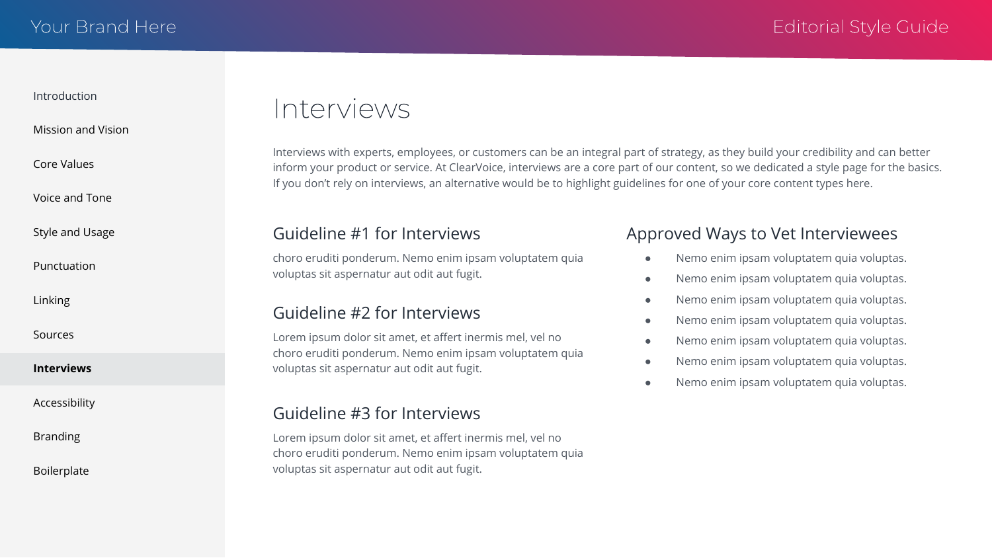### <span id="page-8-0"></span>[Mission and Vision](#page-1-0)

[Core Values](#page-2-0)

[Voice and Tone](#page-3-0)

[Style and Usage](#page-4-0)

[Punctuation](#page-5-0)

[Linking](#page-6-0)

[Sources](#page-7-0)

**Interviews**

[Accessibility](#page-9-0)

[Branding](#page-10-0)

[Boilerplate](#page-11-0)

## Interviews

Interviews with experts, employees, or customers can be an integral part of strategy, as they build your credibility and can better inform your product or service. At ClearVoice, interviews are a core part of our content, so we dedicated a style page for the basics. If you don't rely on interviews, an alternative would be to highlight guidelines for one of your core content types here.

### Guideline #1 for Interviews

choro eruditi ponderum. Nemo enim ipsam voluptatem quia voluptas sit aspernatur aut odit aut fugit.

## Guideline #2 for Interviews

Lorem ipsum dolor sit amet, et affert inermis mel, vel no choro eruditi ponderum. Nemo enim ipsam voluptatem quia voluptas sit aspernatur aut odit aut fugit.

### Guideline #3 for Interviews

Lorem ipsum dolor sit amet, et affert inermis mel, vel no choro eruditi ponderum. Nemo enim ipsam voluptatem quia voluptas sit aspernatur aut odit aut fugit.

### Approved Ways to Vet Interviewees

- Nemo enim ipsam voluptatem quia voluptas.
- Nemo enim ipsam voluptatem quia voluptas.
- Nemo enim ipsam voluptatem quia voluptas.
- Nemo enim ipsam voluptatem quia voluptas.
- Nemo enim ipsam voluptatem quia voluptas.
- Nemo enim ipsam voluptatem quia voluptas.
- Nemo enim ipsam voluptatem quia voluptas.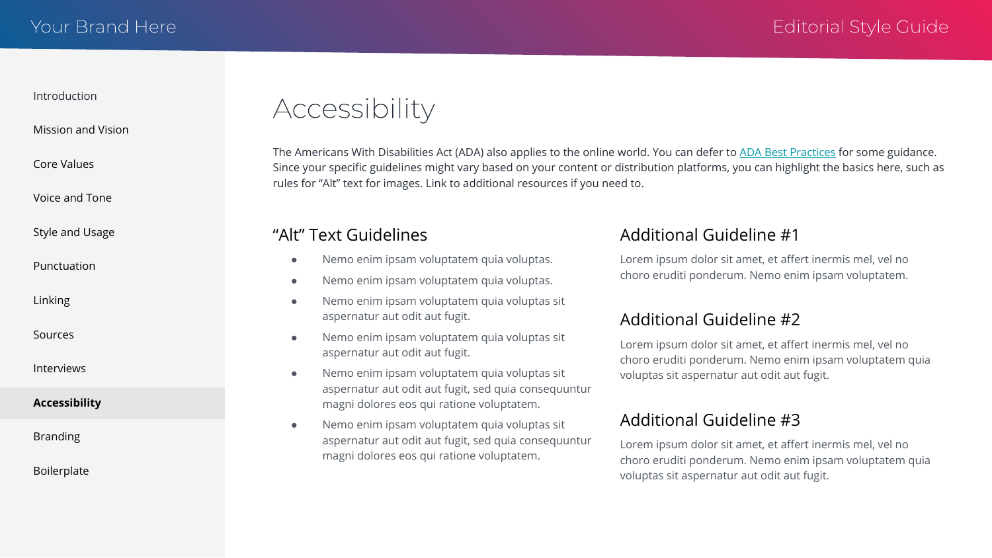<span id="page-9-0"></span>[Mission and Vision](#page-1-0)

[Core Values](#page-2-0)

[Voice and Tone](#page-3-0)

[Style and Usage](#page-4-0)

[Punctuation](#page-5-0)

[Linking](#page-6-0)

[Sources](#page-7-0)

[Interviews](#page-8-0)

### **Accessibility**

[Branding](#page-10-0)

[Boilerplate](#page-11-0)

Accessibility

The Americans With Disabilities Act (ADA) also applies to the online world. You can defer to [ADA Best Practices](https://www.ada.gov/pcatoolkit/chap5toolkit.htm) for some guidance. Since your specific guidelines might vary based on your content or distribution platforms, you can highlight the basics here, such as rules for "Alt" text for images. Link to additional resources if you need to.

### "Alt" Text Guidelines

- Nemo enim ipsam voluptatem quia voluptas.
- Nemo enim ipsam voluptatem quia voluptas.
- Nemo enim ipsam voluptatem quia voluptas sit aspernatur aut odit aut fugit.
- Nemo enim ipsam voluptatem quia voluptas sit aspernatur aut odit aut fugit.
- Nemo enim ipsam voluptatem quia voluptas sit aspernatur aut odit aut fugit, sed quia consequuntur magni dolores eos qui ratione voluptatem.
- Nemo enim ipsam voluptatem quia voluptas sit aspernatur aut odit aut fugit, sed quia consequuntur magni dolores eos qui ratione voluptatem.

### Additional Guideline #1

Lorem ipsum dolor sit amet, et affert inermis mel, vel no choro eruditi ponderum. Nemo enim ipsam voluptatem.

## Additional Guideline #2

Lorem ipsum dolor sit amet, et affert inermis mel, vel no choro eruditi ponderum. Nemo enim ipsam voluptatem quia voluptas sit aspernatur aut odit aut fugit.

## Additional Guideline #3

Lorem ipsum dolor sit amet, et affert inermis mel, vel no choro eruditi ponderum. Nemo enim ipsam voluptatem quia voluptas sit aspernatur aut odit aut fugit.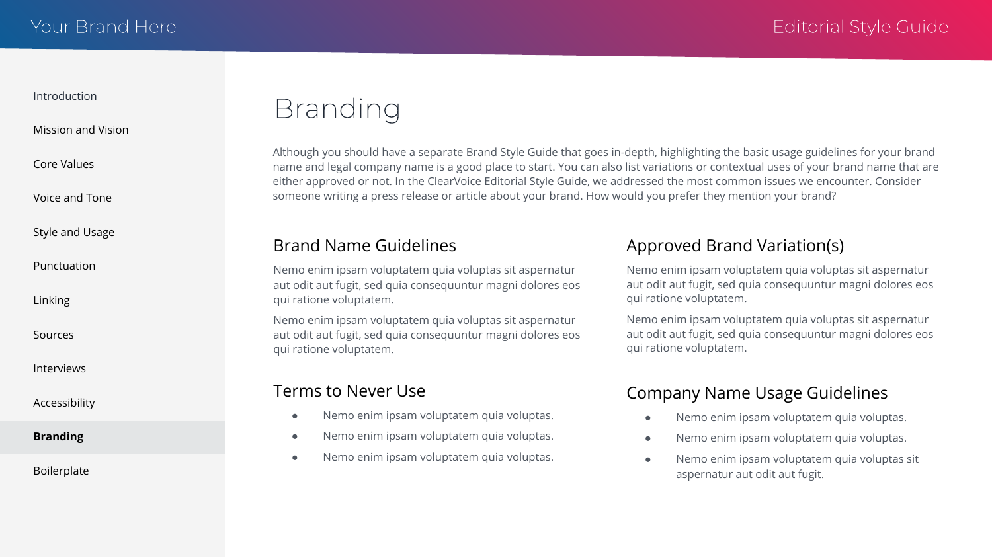### <span id="page-10-0"></span>[Mission and Vision](#page-1-0)

[Core Values](#page-2-0)

[Voice and Tone](#page-3-0)

[Style and Usage](#page-4-0)

[Punctuation](#page-5-0)

[Linking](#page-6-0)

[Sources](#page-7-0)

[Interviews](#page-8-0)

[Accessibility](#page-9-0)

**Branding**

[Boilerplate](#page-11-0)

# **Branding**

Although you should have a separate Brand Style Guide that goes in-depth, highlighting the basic usage guidelines for your brand name and legal company name is a good place to start. You can also list variations or contextual uses of your brand name that are either approved or not. In the ClearVoice Editorial Style Guide, we addressed the most common issues we encounter. Consider someone writing a press release or article about your brand. How would you prefer they mention your brand?

### Brand Name Guidelines

Nemo enim ipsam voluptatem quia voluptas sit aspernatur aut odit aut fugit, sed quia consequuntur magni dolores eos qui ratione voluptatem.

Nemo enim ipsam voluptatem quia voluptas sit aspernatur aut odit aut fugit, sed quia consequuntur magni dolores eos qui ratione voluptatem.

### Terms to Never Use

- Nemo enim ipsam voluptatem quia voluptas.
- Nemo enim ipsam voluptatem quia voluptas.
- Nemo enim ipsam voluptatem quia voluptas.

### Approved Brand Variation(s)

Nemo enim ipsam voluptatem quia voluptas sit aspernatur aut odit aut fugit, sed quia consequuntur magni dolores eos qui ratione voluptatem.

Nemo enim ipsam voluptatem quia voluptas sit aspernatur aut odit aut fugit, sed quia consequuntur magni dolores eos qui ratione voluptatem.

## Company Name Usage Guidelines

- Nemo enim ipsam voluptatem quia voluptas.
- Nemo enim ipsam voluptatem quia voluptas.
- Nemo enim ipsam voluptatem quia voluptas sit aspernatur aut odit aut fugit.